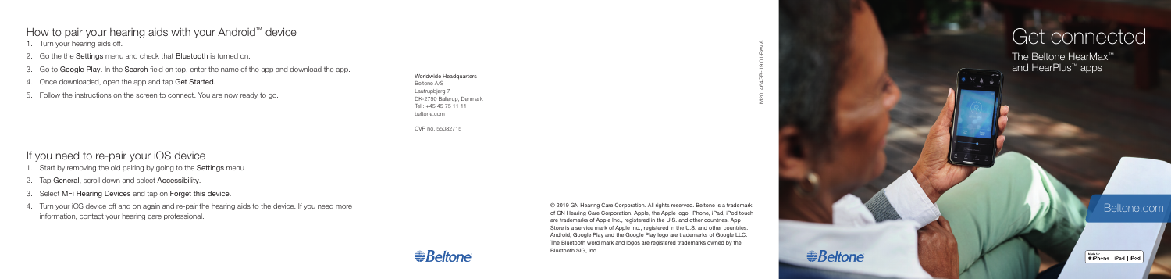## How to pair your hearing aids with your Android ™ device

1. Turn your hearing aids off.

- 2. Go the the Settings menu and check that Bluetooth is turned on.
- 3. Go to Google Play. In the Search field on top, enter the name of the app and download the app.
- 4. Once downloaded, open the app and tap Get Started.
- 5. Follow the instructions on the screen to connect. You are now ready to go.

- If you need to re-pair your iOS device
- 1. Start by removing the old pairing by going to the Settings menu.
- 2. Tap General, scroll down and select Accessibility.
- 3. Select MFi Hearing Devices and tap on Forget this device .
- 4. Turn your iOS device off and on again and re-pair the hearing aids to the device. If you need more information, contact your hearing care professional.

© 2019 GN Hearing Care Corporation. All rights reserved. Beltone is a trademark of GN Hearing Care Corporation. Apple, the Apple logo, iPhone, iPad, iPod touch are trademarks of Apple Inc., registered in the U.S. and other countries. App Store is a service mark of Apple Inc., registered in the U.S. and other countries. Android, Google Play and the Google Play logo are trademarks of Google LLC. The Bluetooth word mark and logos are registered trademarks owned by the Bluetooth SIG, Inc.



Worldwide Headquarters Beltone A/S Lautrupbjerg 7 DK-2750 Ballerup, Denmark Tel.: +45 45 75 11 11 beltone.com

CVR no. 55082715

**Beltone** 

# Get connected

The Beltone HearMax ™ and HearPlus ™ apps

Beltone.com